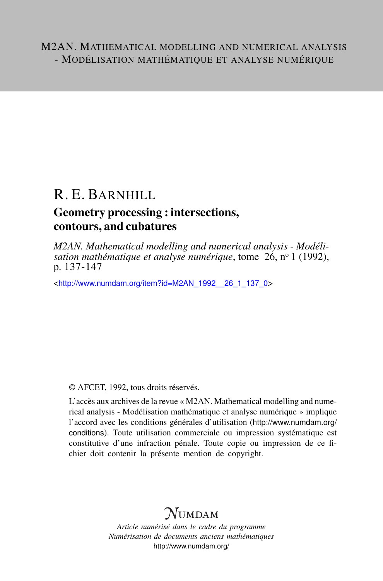# R. E. BARNHILL

# Geometry processing : intersections, contours, and cubatures

*M2AN. Mathematical modelling and numerical analysis - Modélisation mathématique et analyse numérique*, tome 26, nº 1 (1992), p. 137-147

<[http://www.numdam.org/item?id=M2AN\\_1992\\_\\_26\\_1\\_137\\_0](http://www.numdam.org/item?id=M2AN_1992__26_1_137_0)>

© AFCET, 1992, tous droits réservés.

L'accès aux archives de la revue « M2AN. Mathematical modelling and numerical analysis - Modélisation mathématique et analyse numérique » implique l'accord avec les conditions générales d'utilisation ([http://www.numdam.org/](http://www.numdam.org/conditions) [conditions](http://www.numdam.org/conditions)). Toute utilisation commerciale ou impression systématique est constitutive d'une infraction pénale. Toute copie ou impression de ce fichier doit contenir la présente mention de copyright.

# $\mathcal N$ umdam

*Article numérisé dans le cadre du programme Numérisation de documents anciens mathématiques* <http://www.numdam.org/>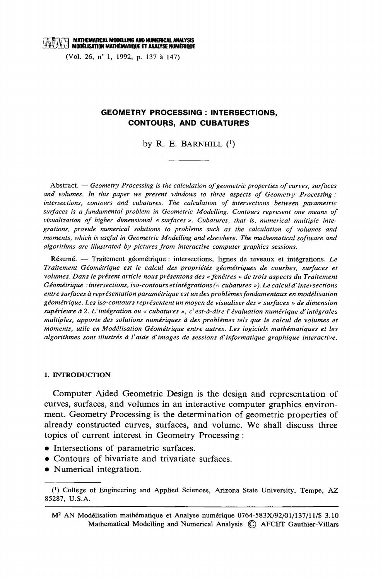(Vol. 26, n° 1, 1992, p. 137 à 147)

## **GEOMETRY PROCESSING : INTERSECTIONS. CONTOURS, AND CUBATURES**

by R. E. BARNHILL  $(1)$ 

Abstract. — Geometry Processing is the calculation of geometric properties of curves, surfaces and volumes. In this paper we present windows to three aspects of Geometry Processing: intersections, contours and cubatures. The calculation of intersections between parametric surfaces is a fundamental problem in Geometric Modelling. Contours represent one means of visualization of higher dimensional « surfaces ». Cubatures, that is, numerical multiple integrations, provide numerical solutions to problems such as the calculation of volumes and moments, which is useful in Geometric Modelling and elsewhere. The mathematical software and algorithms are illustrated by pictures from interactive computer graphics sessions.

Résumé. — Traitement géométrique : intersections, lignes de niveaux et intégrations. Le Traitement Géométrique est le calcul des propriétés géométriques de courbes, surfaces et volumes. Dans le présent article nous présentons des « fenêtres » de trois aspects du Traitement Géométrique : intersections, iso-contours et intégrations (« cubatures »). Le calcul d'intersections entre surfaces à représentation paramétrique est un des problèmes fondamentaux en modélisation géométrique. Les iso-contours représentent un moyen de visualiser des « surfaces » de dimension supérieure à 2. L'intégration ou « cubatures », c'est-à-dire l'évaluation numérique d'intégrales multiples, apporte des solutions numériques à des problèmes tels que le calcul de volumes et moments, utile en Modélisation Géométrique entre autres. Les logiciels mathématiques et les algorithmes sont illustrés à l'aide d'images de sessions d'informatique graphique interactive.

#### 1. INTRODUCTION

Computer Aided Geometric Design is the design and representation of curves, surfaces, and volumes in an interactive computer graphics environment. Geometry Processing is the determination of geometric properties of already constructed curves, surfaces, and volume. We shall discuss three topics of current interest in Geometry Processing:

- Intersections of parametric surfaces.
- Contours of bivariate and trivariate surfaces.
- Numerical integration.

<sup>&</sup>lt;sup>(1</sup>) College of Engineering and Applied Sciences, Arizona State University, Tempe, AZ 85287, U.S.A.

M<sup>2</sup> AN Modélisation mathématique et Analyse numérique 0764-583X/92/01/137/11/\$ 3.10 Mathematical Modelling and Numerical Analysis (C) AFCET Gauthier-Villars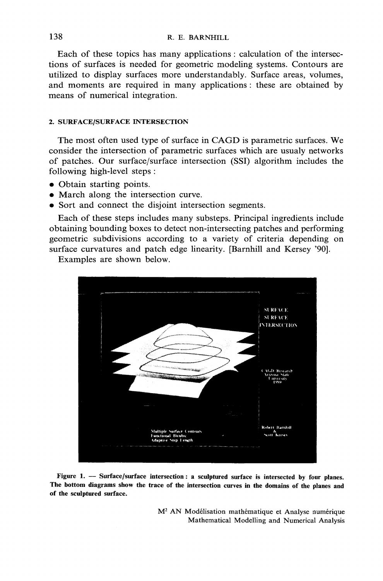Each of these topics has many applications : calculation of the intersections of surfaces is needed for geometric modeling systems. Contours are utilized to display surfaces more understandably. Surface areas, volumes, and moments are required in many applications: these are obtained by means of numerical integration.

### 2. SURFACE/SURFACE INTERSECTION

The most often used type of surface in CAGD is parametric surfaces. We consider the intersection of parametric surfaces which are usualy networks of patches. Our surface/surface intersection (SSI) algorithm includes the following high-level steps:

- Obtain starting points.
- March along the intersection curve.
- Sort and connect the disjoint intersection segments.

Each of these steps includes many substeps. Principal ingredients include obtaining bounding boxes to detect non-intersecting patches and performing geometric subdivisions according to a variety of criteria depending on surface curvatures and patch edge linearity. [Barnhill and Kersey '90].

Examples are shown below.



Figure 1. - Surface/surface intersection: a sculptured surface is intersected by four planes. The bottom diagrams show the trace of the intersection curves in the domains of the planes and of the sculptured surface.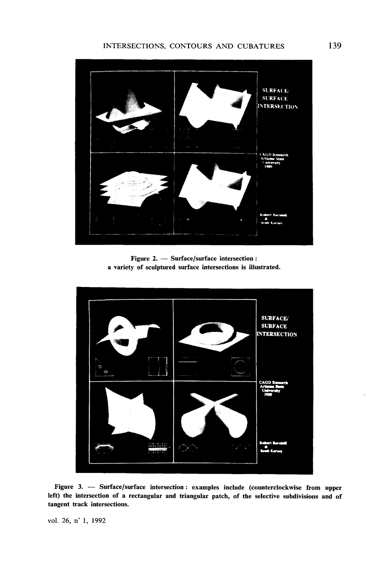

Figure 2. - Surface/surface intersection: a variety of sculptured surface intersections is illustrated.



Figure 3. - Surface/surface intersection: examples include (counterclockwise from upper left) the intersection of a rectangular and triangular patch, of the selective subdivisions and of tangent track intersections.

vol. 26, n° 1, 1992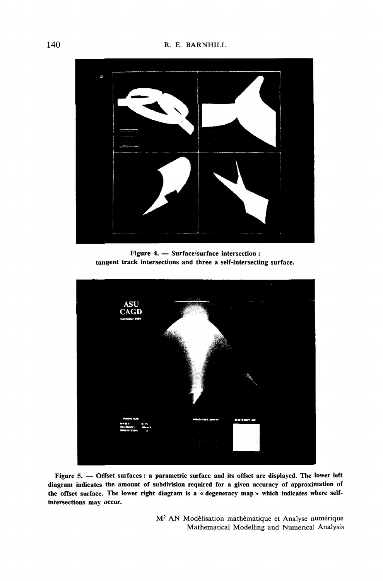

Figure 4. - Surface/surface intersection : tangent track intersections and three a self-intersecting surface.



Figure 5. - Offset surfaces : a parametric surface and its offset are displayed. The lower left diagram indicates the amount of subdivision required for a given accuracy of approximation of the offset surface. The lower right diagram is a « degeneracy map » which indicates where selfintersections may occur.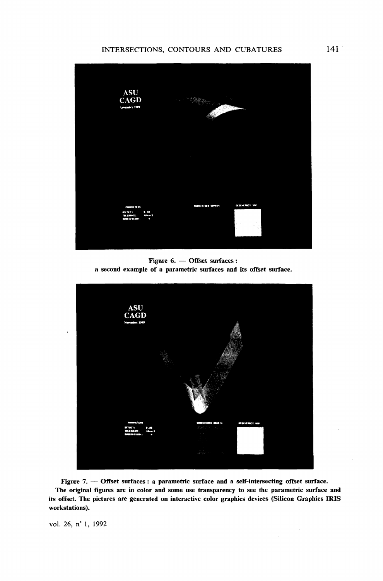#### INTERSECTIONS, CONTOURS AND CUBATURES



Figure 6. - Offset surfaces : a second example of a parametric surfaces and its offset surface.



Figure 7. - Offset surfaces : a parametric surface and a self-intersecting offset surface. The original figures are in color and some use transparency to see the parametric surface and its offset. The pictures are generated on interactive color graphics devices (Silicon Graphics IRIS workstations).

vol. 26, n° 1, 1992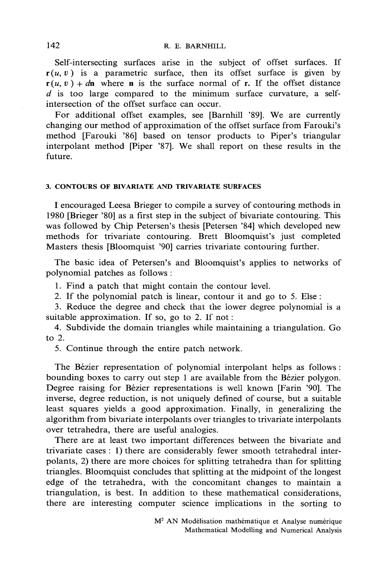Self-intersecting surfaces arise in the subject of offset surfaces. If  $r(u, v)$  is a parametric surface, then its offset surface is given by  $\mathbf{r}(u, v) + d\mathbf{n}$  where **n** is the surface normal of **r**. If the offset distance  $d$  is too large compared to the minimum surface curvature, a selfintersection of the offset surface can occur.

For additional offset examples, see [Barnhill '89]. We are currently changing our method of approximation of the offset surface from Farouki's method [Farouki '86] based on tensor products to Piper's triangular interpolant method [Piper '87]. We shall report on these results in the future

#### 3. CONTOURS OF BIVARIATE AND TRIVARIATE SURFACES

I encouraged Leesa Brieger to compile a survey of contouring methods in 1980 [Brieger '80] as a first step in the subject of bivariate contouring. This was followed by Chip Petersen's thesis [Petersen '84] which developed new methods for trivariate contouring. Brett Bloomquist's just completed Masters thesis [Bloomquist '90] carries trivariate contouring further.

The basic idea of Petersen's and Bloomquist's applies to networks of polynomial patches as follows:

1. Find a patch that might contain the contour level.

2. If the polynomial patch is linear, contour it and go to 5. Else :

3. Reduce the degree and check that the lower degree polynomial is a suitable approximation. If so, go to 2. If not:

4. Subdivide the domain triangles while maintaining a triangulation. Go to  $2.$ 

5. Continue through the entire patch network.

The Bézier representation of polynomial interpolant helps as follows: bounding boxes to carry out step 1 are available from the Bézier polygon. Degree raising for Bézier representations is well known [Farin '90]. The inverse, degree reduction, is not uniquely defined of course, but a suitable least squares yields a good approximation. Finally, in generalizing the algorithm from bivariate interpolants over triangles to trivariate interpolants over tetrahedra, there are useful analogies.

There are at least two important differences between the bivariate and trivariate cases : 1) there are considerably fewer smooth tetrahedral interpolants, 2) there are more choices for splitting tetrahedra than for splitting triangles. Bloomquist concludes that splitting at the midpoint of the longest edge of the tetrahedra, with the concomitant changes to maintain a triangulation, is best. In addition to these mathematical considerations, there are interesting computer science implications in the sorting to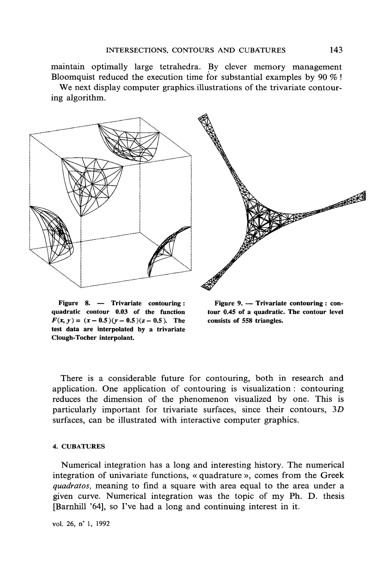maintain optimally large tetrahedra. By clever memory management Bloomquist reduced the execution time for substantial examples by 90  $\%$ ! We next display computer graphics illustrations of the trivariate contour-

ing algorithm.



Figure 8. — Trivariate contouring: quadratic contour 0.03 of the function  $F(x, y) = (x - 0.5)(y - 0.5)(z - 0.5)$ . The test data are interpolated by a trivariate Clough-Tocher interpolant.

Figure 9. - Trivariate contouring : contour 0.45 of a quadratic. The contour level consists of 558 triangles.

There is a considerable future for contouring, both in research and application. One application of contouring is visualization: contouring reduces the dimension of the phenomenon visualized by one. This is particularly important for trivariate surfaces, since their contours, 3D surfaces, can be illustrated with interactive computer graphics.

#### **4. CUBATURES**

Numerical integration has a long and interesting history. The numerical integration of univariate functions, « quadrature », comes from the Greek *quadratos*, meaning to find a square with area equal to the area under a given curve. Numerical integration was the topic of my Ph. D. thesis [Barnhill '64], so I've had a long and continuing interest in it.

vol. 26, n° 1, 1992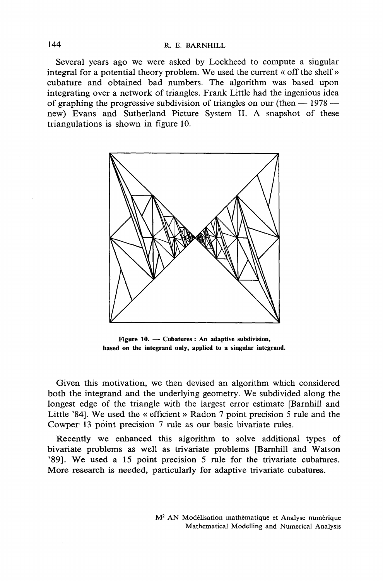Several years ago we were asked by Lockheed to compute a singular integral for a potential theory problem. We used the current « off the shelf » cubature and obtained bad numbers. The algorithm was based upon integrating over a network of triangles. Frank Little had the ingenious idea of graphing the progressive subdivision of triangles on our (then  $-1978$ new) Evans and Sutherland Picture System II. A snapshot of these triangulations is shown in figure 10.



Figure  $10.$  - Cubatures : An adaptive subdivision, based on the integrand only, applied to a singular integrand.

Given this motivation, we then devised an algorithm which considered both the integrand and the underlying geometry. We subdivided along the longest edge of the triangle with the largest error estimate [Barnhill and Little '84]. We used the « efficient » Radon 7 point precision 5 rule and the Cowper 13 point precision 7 rule as our basic bivariate rules.

Recently we enhanced this algorithm to solve additional types of bivariate problems as well as trivariate problems [Barnhill and Watson '89]. We used a 15 point precision 5 rule for the trivariate cubatures. More research is needed, particularly for adaptive trivariate cubatures.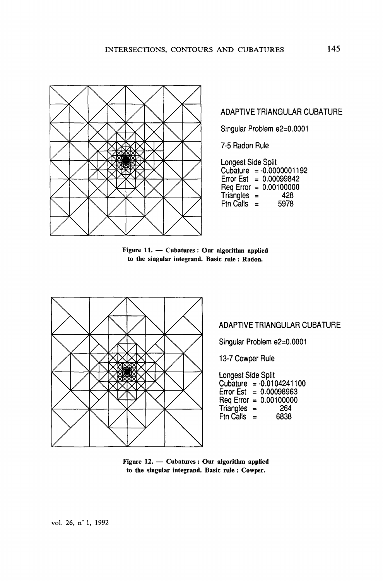

ADAPTIVE TRIANGULAR CUBATURE

Singular Problem e2=0.0001

7-5 Radon Rule

| Longest Side Split |          |                          |
|--------------------|----------|--------------------------|
|                    |          | Cubature = -0.0000001192 |
| Error Est          |          | $= 0.00099842$           |
|                    |          | Req Error = $0.00100000$ |
| Triangles          | $\equiv$ | 428                      |
| Ftn Calls          | $=$      | 5978                     |

Figure 11. - Cubatures : Our algorithm applied to the singular integrand. Basic rule: Radon.



## ADAPTIVE TRIANGULAR CUBATURE

Singular Problem e2=0.0001

13-7 Cowper Rule

Longest Side Split Cubature =  $-0.0104241100$ <br>Error Est = 0.00098963 Req Error =  $0.00100000$  $Triangle =$ 264  $Ftn$  Calls  $=$ 6838

Figure  $12.$  - Cubatures : Our algorithm applied to the singular integrand. Basic rule: Cowper.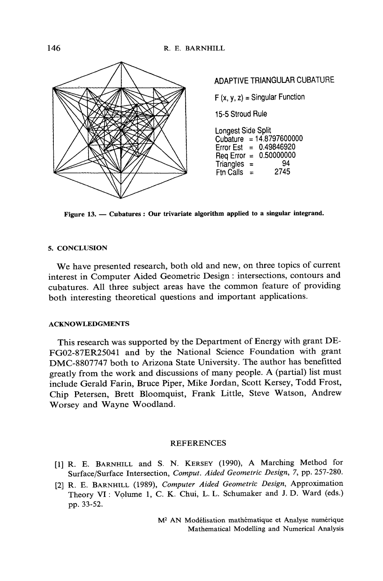

Figure 13. - Cubatures : Our trivariate algorithm applied to a singular integrand.

#### 5. CONCLUSION

We have presented research, both old and new, on three topics of current interest in Computer Aided Geometric Design : intersections, contours and cubatures. All three subject areas have the common feature of providing both interesting theoretical questions and important applications.

#### **ACKNOWLEDGMENTS**

This research was supported by the Department of Energy with grant DE-FG02-87ER25041 and by the National Science Foundation with grant DMC-8807747 both to Arizona State University. The author has benefitted greatly from the work and discussions of many people. A (partial) list must include Gerald Farin, Bruce Piper, Mike Jordan, Scott Kersey, Todd Frost, Chip Petersen, Brett Bloomquist, Frank Little, Steve Watson, Andrew Worsey and Wayne Woodland.

#### **REFERENCES**

- [1] R. E. BARNHILL and S. N. KERSEY (1990), A Marching Method for Surface/Surface Intersection, Comput. Aided Geometric Design, 7, pp. 257-280.
- [2] R. E. BARNHILL (1989), Computer Aided Geometric Design, Approximation Theory VI: Volume 1, C. K. Chui, L. L. Schumaker and J. D. Ward (eds.) pp. 33-52.